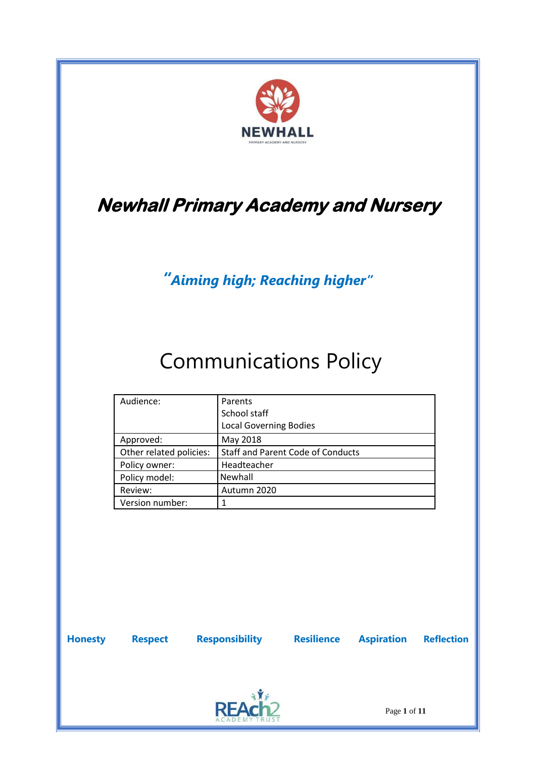

# **Newhall Primary Academy and Nursery**

*"Aiming high; Reaching higher"*

# Communications Policy

| Audience:               | Parents<br>School staff<br><b>Local Governing Bodies</b> |
|-------------------------|----------------------------------------------------------|
| Approved:               | May 2018                                                 |
| Other related policies: | <b>Staff and Parent Code of Conducts</b>                 |
| Policy owner:           | Headteacher                                              |
| Policy model:           | Newhall                                                  |
| Review:                 | Autumn 2020                                              |
| Version number:         |                                                          |

**Honesty Respect Responsibility Resilience Aspiration Reflection**



Page **1** of **11**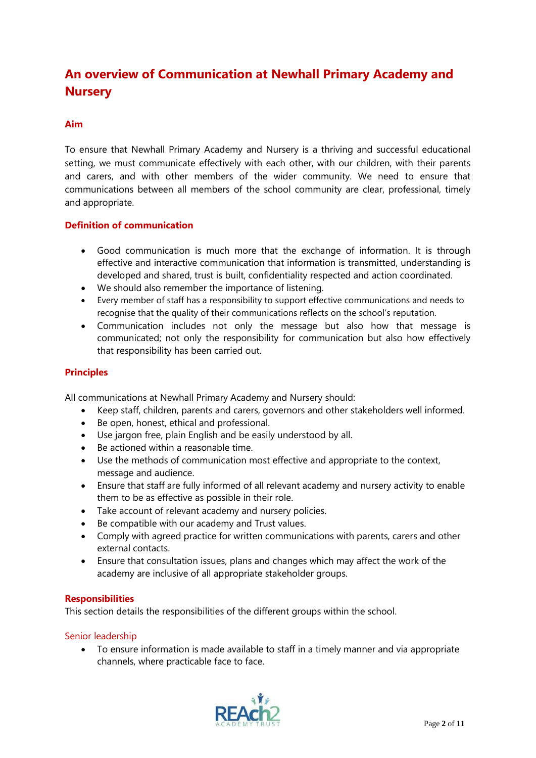# **An overview of Communication at Newhall Primary Academy and Nursery**

# **Aim**

To ensure that Newhall Primary Academy and Nursery is a thriving and successful educational setting, we must communicate effectively with each other, with our children, with their parents and carers, and with other members of the wider community. We need to ensure that communications between all members of the school community are clear, professional, timely and appropriate.

# **Definition of communication**

- Good communication is much more that the exchange of information. It is through effective and interactive communication that information is transmitted, understanding is developed and shared, trust is built, confidentiality respected and action coordinated.
- We should also remember the importance of listening.
- Every member of staff has a responsibility to support effective communications and needs to recognise that the quality of their communications reflects on the school's reputation.
- Communication includes not only the message but also how that message is communicated; not only the responsibility for communication but also how effectively that responsibility has been carried out.

# **Principles**

All communications at Newhall Primary Academy and Nursery should:

- Keep staff, children, parents and carers, governors and other stakeholders well informed.
- Be open, honest, ethical and professional.
- Use jargon free, plain English and be easily understood by all.
- Be actioned within a reasonable time.
- Use the methods of communication most effective and appropriate to the context, message and audience.
- Ensure that staff are fully informed of all relevant academy and nursery activity to enable them to be as effective as possible in their role.
- Take account of relevant academy and nursery policies.
- Be compatible with our academy and Trust values.
- Comply with agreed practice for written communications with parents, carers and other external contacts.
- Ensure that consultation issues, plans and changes which may affect the work of the academy are inclusive of all appropriate stakeholder groups.

#### **Responsibilities**

This section details the responsibilities of the different groups within the school.

#### Senior leadership

 To ensure information is made available to staff in a timely manner and via appropriate channels, where practicable face to face.

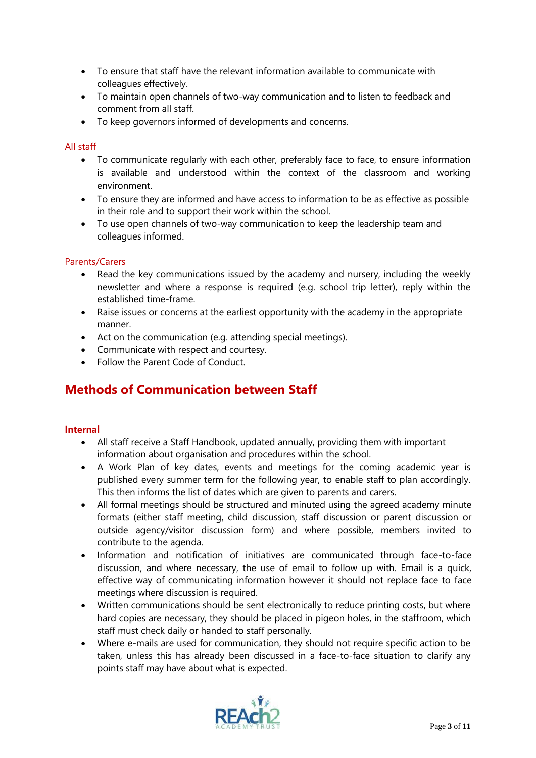- To ensure that staff have the relevant information available to communicate with colleagues effectively.
- To maintain open channels of two-way communication and to listen to feedback and comment from all staff.
- To keep governors informed of developments and concerns.

# All staff

- To communicate regularly with each other, preferably face to face, to ensure information is available and understood within the context of the classroom and working environment.
- To ensure they are informed and have access to information to be as effective as possible in their role and to support their work within the school.
- To use open channels of two-way communication to keep the leadership team and colleagues informed.

# Parents/Carers

- Read the key communications issued by the academy and nursery, including the weekly newsletter and where a response is required (e.g. school trip letter), reply within the established time-frame.
- Raise issues or concerns at the earliest opportunity with the academy in the appropriate manner.
- Act on the communication (e.g. attending special meetings).
- Communicate with respect and courtesy.
- Follow the Parent Code of Conduct.

# **Methods of Communication between Staff**

#### **Internal**

- All staff receive a Staff Handbook, updated annually, providing them with important information about organisation and procedures within the school.
- A Work Plan of key dates, events and meetings for the coming academic year is published every summer term for the following year, to enable staff to plan accordingly. This then informs the list of dates which are given to parents and carers.
- All formal meetings should be structured and minuted using the agreed academy minute formats (either staff meeting, child discussion, staff discussion or parent discussion or outside agency/visitor discussion form) and where possible, members invited to contribute to the agenda.
- Information and notification of initiatives are communicated through face-to-face discussion, and where necessary, the use of email to follow up with. Email is a quick, effective way of communicating information however it should not replace face to face meetings where discussion is required.
- Written communications should be sent electronically to reduce printing costs, but where hard copies are necessary, they should be placed in pigeon holes, in the staffroom, which staff must check daily or handed to staff personally.
- Where e-mails are used for communication, they should not require specific action to be taken, unless this has already been discussed in a face-to-face situation to clarify any points staff may have about what is expected.

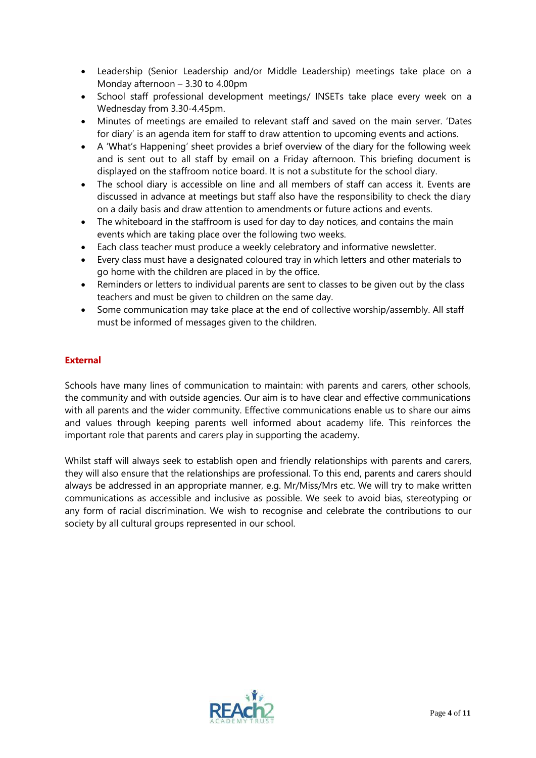- Leadership (Senior Leadership and/or Middle Leadership) meetings take place on a Monday afternoon – 3.30 to 4.00pm
- School staff professional development meetings/ INSETs take place every week on a Wednesday from 3.30-4.45pm.
- Minutes of meetings are emailed to relevant staff and saved on the main server. 'Dates for diary' is an agenda item for staff to draw attention to upcoming events and actions.
- A 'What's Happening' sheet provides a brief overview of the diary for the following week and is sent out to all staff by email on a Friday afternoon. This briefing document is displayed on the staffroom notice board. It is not a substitute for the school diary.
- The school diary is accessible on line and all members of staff can access it. Events are discussed in advance at meetings but staff also have the responsibility to check the diary on a daily basis and draw attention to amendments or future actions and events.
- The whiteboard in the staffroom is used for day to day notices, and contains the main events which are taking place over the following two weeks.
- Each class teacher must produce a weekly celebratory and informative newsletter.
- Every class must have a designated coloured tray in which letters and other materials to go home with the children are placed in by the office.
- Reminders or letters to individual parents are sent to classes to be given out by the class teachers and must be given to children on the same day.
- Some communication may take place at the end of collective worship/assembly. All staff must be informed of messages given to the children.

# **External**

Schools have many lines of communication to maintain: with parents and carers, other schools, the community and with outside agencies. Our aim is to have clear and effective communications with all parents and the wider community. Effective communications enable us to share our aims and values through keeping parents well informed about academy life. This reinforces the important role that parents and carers play in supporting the academy.

Whilst staff will always seek to establish open and friendly relationships with parents and carers, they will also ensure that the relationships are professional. To this end, parents and carers should always be addressed in an appropriate manner, e.g. Mr/Miss/Mrs etc. We will try to make written communications as accessible and inclusive as possible. We seek to avoid bias, stereotyping or any form of racial discrimination. We wish to recognise and celebrate the contributions to our society by all cultural groups represented in our school.

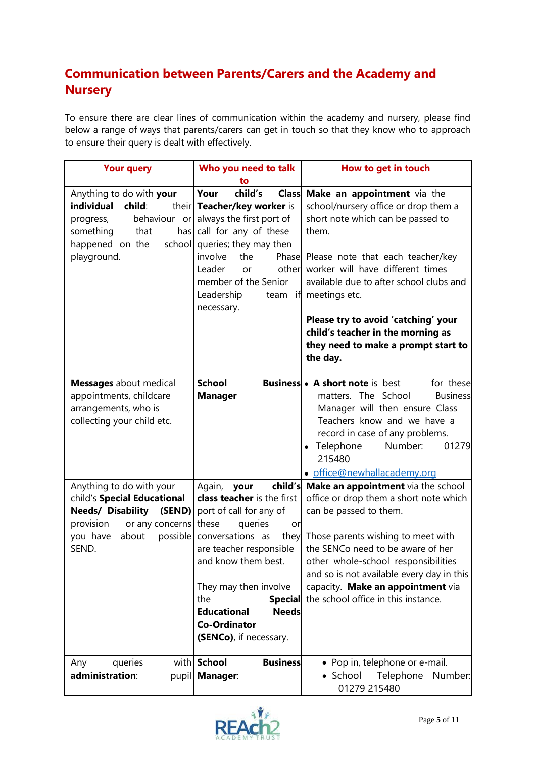# **Communication between Parents/Carers and the Academy and Nursery**

To ensure there are clear lines of communication within the academy and nursery, please find below a range of ways that parents/carers can get in touch so that they know who to approach to ensure their query is dealt with effectively.

| <b>Your query</b>                                                                                                                                                 | Who you need to talk                                                                                                                                                                                                                                                                           | How to get in touch                                                                                                                                                                                                                                                                                                                                                    |
|-------------------------------------------------------------------------------------------------------------------------------------------------------------------|------------------------------------------------------------------------------------------------------------------------------------------------------------------------------------------------------------------------------------------------------------------------------------------------|------------------------------------------------------------------------------------------------------------------------------------------------------------------------------------------------------------------------------------------------------------------------------------------------------------------------------------------------------------------------|
|                                                                                                                                                                   | to                                                                                                                                                                                                                                                                                             |                                                                                                                                                                                                                                                                                                                                                                        |
| Anything to do with your                                                                                                                                          | child's<br>Your                                                                                                                                                                                                                                                                                | Class Make an appointment via the                                                                                                                                                                                                                                                                                                                                      |
| individual<br>child:<br>progress,<br>something<br>that<br>happened on the<br>playground.                                                                          | their Teacher/key worker is<br>behaviour or always the first port of<br>has call for any of these<br>school queries; they may then<br>involve<br>the<br>Leader<br>other<br>or<br>member of the Senior<br>Leadership<br>necessary.                                                              | school/nursery office or drop them a<br>short note which can be passed to<br>them.<br>Phase Please note that each teacher/key<br>worker will have different times<br>available due to after school clubs and<br>team if meetings etc.<br>Please try to avoid 'catching' your<br>child's teacher in the morning as<br>they need to make a prompt start to<br>the day.   |
|                                                                                                                                                                   |                                                                                                                                                                                                                                                                                                |                                                                                                                                                                                                                                                                                                                                                                        |
| <b>Messages</b> about medical<br>appointments, childcare<br>arrangements, who is<br>collecting your child etc.                                                    | <b>School</b><br><b>Manager</b>                                                                                                                                                                                                                                                                | <b>Business • A short note is best</b><br>for these<br>matters. The School<br><b>Business</b><br>Manager will then ensure Class<br>Teachers know and we have a<br>record in case of any problems.<br>Telephone<br>Number:<br>01279<br>$\bullet$<br>215480<br>· office@newhallacademy.org                                                                               |
| Anything to do with your<br>child's Special Educational<br><b>Needs/ Disability</b><br>(SEND)<br>provision<br>or any concerns these<br>you have<br>about<br>SEND. | Again,<br>your<br>class teacher is the first<br>port of call for any of<br>queries<br>or<br>possible conversations as<br>are teacher responsible<br>and know them best.<br>They may then involve<br>the<br><b>Educational</b><br><b>Needs</b><br><b>Co-Ordinator</b><br>(SENCo), if necessary. | child's Make an appointment via the school<br>office or drop them a short note which<br>can be passed to them.<br>they Those parents wishing to meet with<br>the SENCo need to be aware of her<br>other whole-school responsibilities<br>and so is not available every day in this<br>capacity. Make an appointment via<br>Special the school office in this instance. |
| queries<br>Any<br>administration:                                                                                                                                 | with School<br><b>Business</b><br>pupil   Manager:                                                                                                                                                                                                                                             | • Pop in, telephone or e-mail.<br>• School<br>Telephone<br>Number:<br>01279 215480                                                                                                                                                                                                                                                                                     |

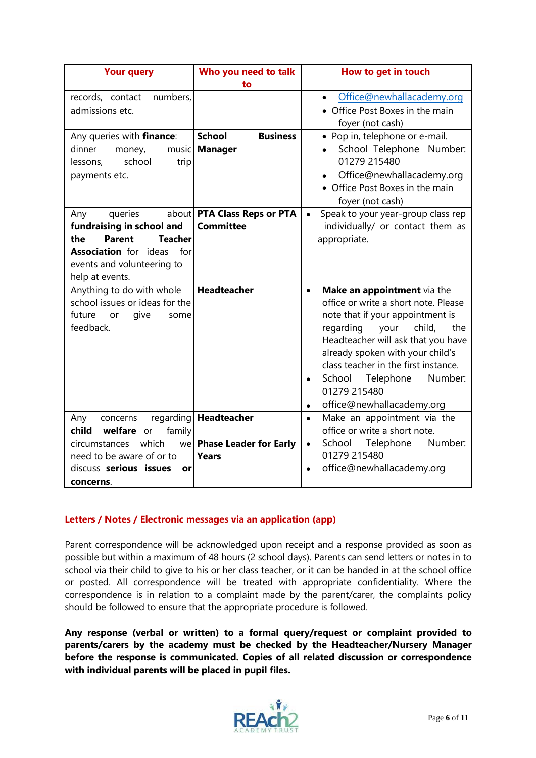| <b>Your query</b>                   | Who you need to talk             | How to get in touch                             |
|-------------------------------------|----------------------------------|-------------------------------------------------|
|                                     | to                               |                                                 |
| records, contact<br>numbers,        |                                  | Office@newhallacademy.org<br>$\bullet$          |
| admissions etc.                     |                                  | • Office Post Boxes in the main                 |
|                                     |                                  | foyer (not cash)                                |
| Any queries with finance:           | <b>Business</b><br><b>School</b> | • Pop in, telephone or e-mail.                  |
| dinner<br>money,<br>music           | <b>Manager</b>                   | School Telephone Number:                        |
| school<br>lessons,<br>trip          |                                  | 01279 215480                                    |
| payments etc.                       |                                  | Office@newhallacademy.org                       |
|                                     |                                  | • Office Post Boxes in the main                 |
|                                     |                                  | foyer (not cash)                                |
| queries<br>Any                      | about PTA Class Reps or PTA      | Speak to your year-group class rep<br>$\bullet$ |
| fundraising in school and           | <b>Committee</b>                 | individually/ or contact them as                |
| <b>Parent</b><br>Teacher<br>the     |                                  | appropriate.                                    |
| <b>Association</b> for ideas<br>for |                                  |                                                 |
| events and volunteering to          |                                  |                                                 |
| help at events.                     |                                  |                                                 |
| Anything to do with whole           | <b>Headteacher</b>               | Make an appointment via the<br>$\bullet$        |
| school issues or ideas for the      |                                  | office or write a short note. Please            |
| future<br>give<br>some<br>or        |                                  | note that if your appointment is                |
| feedback.                           |                                  | regarding your<br>child,<br>the                 |
|                                     |                                  | Headteacher will ask that you have              |
|                                     |                                  | already spoken with your child's                |
|                                     |                                  | class teacher in the first instance.            |
|                                     |                                  | School Telephone<br>Number:<br>$\bullet$        |
|                                     |                                  | 01279 215480                                    |
|                                     |                                  | office@newhallacademy.org<br>$\bullet$          |
| Any<br>concerns                     | regarding Headteacher            | Make an appointment via the<br>$\bullet$        |
| child<br>welfare or<br>family       |                                  | office or write a short note.                   |
| which<br>circumstances              | we Phase Leader for Early        | Number:<br>Telephone<br>School<br>$\bullet$     |
| need to be aware of or to           | <b>Years</b>                     | 01279 215480                                    |
| discuss serious issues<br>or        |                                  | office@newhallacademy.org<br>$\bullet$          |
| concerns.                           |                                  |                                                 |

# **Letters / Notes / Electronic messages via an application (app)**

Parent correspondence will be acknowledged upon receipt and a response provided as soon as possible but within a maximum of 48 hours (2 school days). Parents can send letters or notes in to school via their child to give to his or her class teacher, or it can be handed in at the school office or posted. All correspondence will be treated with appropriate confidentiality. Where the correspondence is in relation to a complaint made by the parent/carer, the complaints policy should be followed to ensure that the appropriate procedure is followed.

**Any response (verbal or written) to a formal query/request or complaint provided to parents/carers by the academy must be checked by the Headteacher/Nursery Manager before the response is communicated. Copies of all related discussion or correspondence with individual parents will be placed in pupil files.**

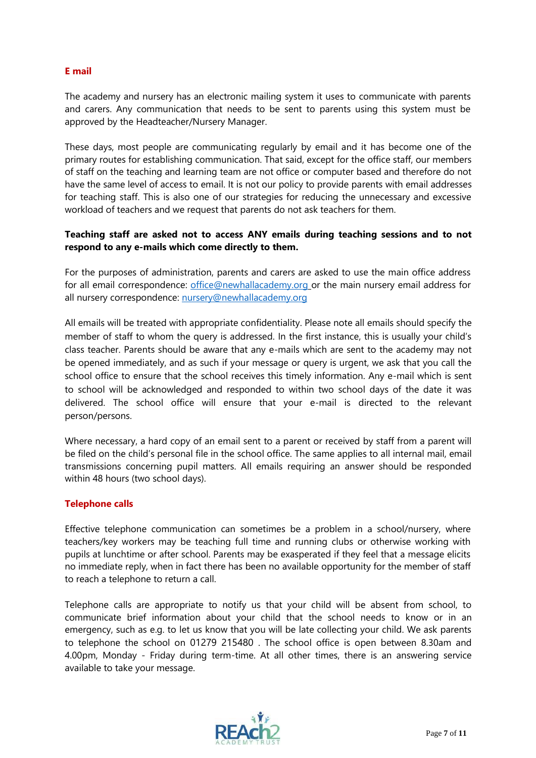# **E mail**

The academy and nursery has an electronic mailing system it uses to communicate with parents and carers. Any communication that needs to be sent to parents using this system must be approved by the Headteacher/Nursery Manager.

These days, most people are communicating regularly by email and it has become one of the primary routes for establishing communication. That said, except for the office staff, our members of staff on the teaching and learning team are not office or computer based and therefore do not have the same level of access to email. It is not our policy to provide parents with email addresses for teaching staff. This is also one of our strategies for reducing the unnecessary and excessive workload of teachers and we request that parents do not ask teachers for them.

# **Teaching staff are asked not to access ANY emails during teaching sessions and to not respond to any e-mails which come directly to them.**

For the purposes of administration, parents and carers are asked to use the main office address for all email correspondence: [office@newhallacademy.org](mailto:office@newhallacademy.org) or the main nursery email address for all nursery correspondence: [nursery@newhallacademy.org](mailto:nursery@newhallacademy.org)

All emails will be treated with appropriate confidentiality. Please note all emails should specify the member of staff to whom the query is addressed. In the first instance, this is usually your child's class teacher. Parents should be aware that any e-mails which are sent to the academy may not be opened immediately, and as such if your message or query is urgent, we ask that you call the school office to ensure that the school receives this timely information. Any e-mail which is sent to school will be acknowledged and responded to within two school days of the date it was delivered. The school office will ensure that your e-mail is directed to the relevant person/persons.

Where necessary, a hard copy of an email sent to a parent or received by staff from a parent will be filed on the child's personal file in the school office. The same applies to all internal mail, email transmissions concerning pupil matters. All emails requiring an answer should be responded within 48 hours (two school days).

# **Telephone calls**

Effective telephone communication can sometimes be a problem in a school/nursery, where teachers/key workers may be teaching full time and running clubs or otherwise working with pupils at lunchtime or after school. Parents may be exasperated if they feel that a message elicits no immediate reply, when in fact there has been no available opportunity for the member of staff to reach a telephone to return a call.

Telephone calls are appropriate to notify us that your child will be absent from school, to communicate brief information about your child that the school needs to know or in an emergency, such as e.g. to let us know that you will be late collecting your child. We ask parents to telephone the school on 01279 215480 . The school office is open between 8.30am and 4.00pm, Monday - Friday during term-time. At all other times, there is an answering service available to take your message.

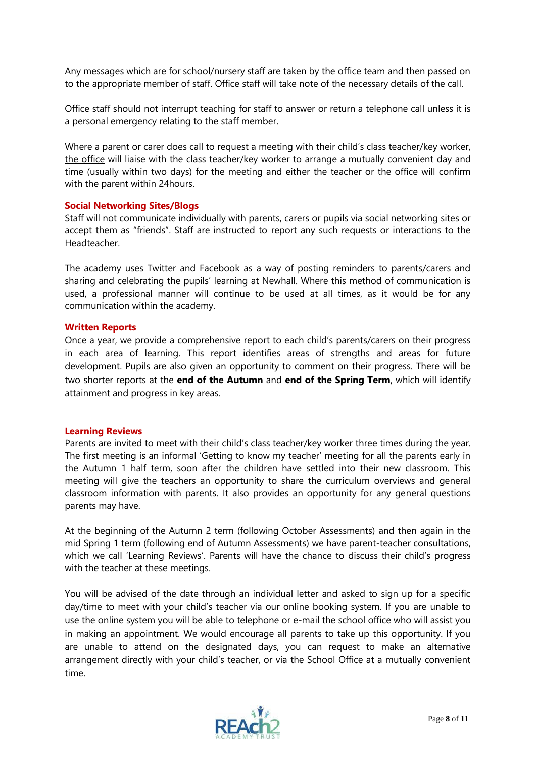Any messages which are for school/nursery staff are taken by the office team and then passed on to the appropriate member of staff. Office staff will take note of the necessary details of the call.

Office staff should not interrupt teaching for staff to answer or return a telephone call unless it is a personal emergency relating to the staff member.

Where a parent or carer does call to request a meeting with their child's class teacher/key worker, the office will liaise with the class teacher/key worker to arrange a mutually convenient day and time (usually within two days) for the meeting and either the teacher or the office will confirm with the parent within 24hours.

# **Social Networking Sites/Blogs**

Staff will not communicate individually with parents, carers or pupils via social networking sites or accept them as "friends". Staff are instructed to report any such requests or interactions to the Headteacher.

The academy uses Twitter and Facebook as a way of posting reminders to parents/carers and sharing and celebrating the pupils' learning at Newhall. Where this method of communication is used, a professional manner will continue to be used at all times, as it would be for any communication within the academy.

#### **Written Reports**

Once a year, we provide a comprehensive report to each child's parents/carers on their progress in each area of learning. This report identifies areas of strengths and areas for future development. Pupils are also given an opportunity to comment on their progress. There will be two shorter reports at the **end of the Autumn** and **end of the Spring Term**, which will identify attainment and progress in key areas.

#### **Learning Reviews**

Parents are invited to meet with their child's class teacher/key worker three times during the year. The first meeting is an informal 'Getting to know my teacher' meeting for all the parents early in the Autumn 1 half term, soon after the children have settled into their new classroom. This meeting will give the teachers an opportunity to share the curriculum overviews and general classroom information with parents. It also provides an opportunity for any general questions parents may have.

At the beginning of the Autumn 2 term (following October Assessments) and then again in the mid Spring 1 term (following end of Autumn Assessments) we have parent-teacher consultations, which we call 'Learning Reviews'. Parents will have the chance to discuss their child's progress with the teacher at these meetings.

You will be advised of the date through an individual letter and asked to sign up for a specific day/time to meet with your child's teacher via our online booking system. If you are unable to use the online system you will be able to telephone or e-mail the school office who will assist you in making an appointment. We would encourage all parents to take up this opportunity. If you are unable to attend on the designated days, you can request to make an alternative arrangement directly with your child's teacher, or via the School Office at a mutually convenient time.

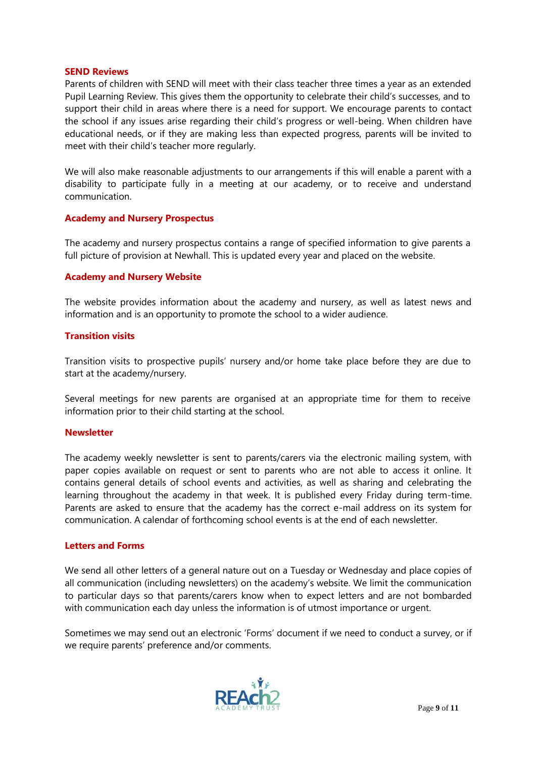#### **SEND Reviews**

Parents of children with SEND will meet with their class teacher three times a year as an extended Pupil Learning Review. This gives them the opportunity to celebrate their child's successes, and to support their child in areas where there is a need for support. We encourage parents to contact the school if any issues arise regarding their child's progress or well-being. When children have educational needs, or if they are making less than expected progress, parents will be invited to meet with their child's teacher more regularly.

We will also make reasonable adjustments to our arrangements if this will enable a parent with a disability to participate fully in a meeting at our academy, or to receive and understand communication.

## **Academy and Nursery Prospectus**

The academy and nursery prospectus contains a range of specified information to give parents a full picture of provision at Newhall. This is updated every year and placed on the website.

## **Academy and Nursery Website**

The website provides information about the academy and nursery, as well as latest news and information and is an opportunity to promote the school to a wider audience.

#### **Transition visits**

Transition visits to prospective pupils' nursery and/or home take place before they are due to start at the academy/nursery.

Several meetings for new parents are organised at an appropriate time for them to receive information prior to their child starting at the school.

#### **Newsletter**

The academy weekly newsletter is sent to parents/carers via the electronic mailing system, with paper copies available on request or sent to parents who are not able to access it online. It contains general details of school events and activities, as well as sharing and celebrating the learning throughout the academy in that week. It is published every Friday during term-time. Parents are asked to ensure that the academy has the correct e-mail address on its system for communication. A calendar of forthcoming school events is at the end of each newsletter.

#### **Letters and Forms**

We send all other letters of a general nature out on a Tuesday or Wednesday and place copies of all communication (including newsletters) on the academy's website. We limit the communication to particular days so that parents/carers know when to expect letters and are not bombarded with communication each day unless the information is of utmost importance or urgent.

Sometimes we may send out an electronic 'Forms' document if we need to conduct a survey, or if we require parents' preference and/or comments.

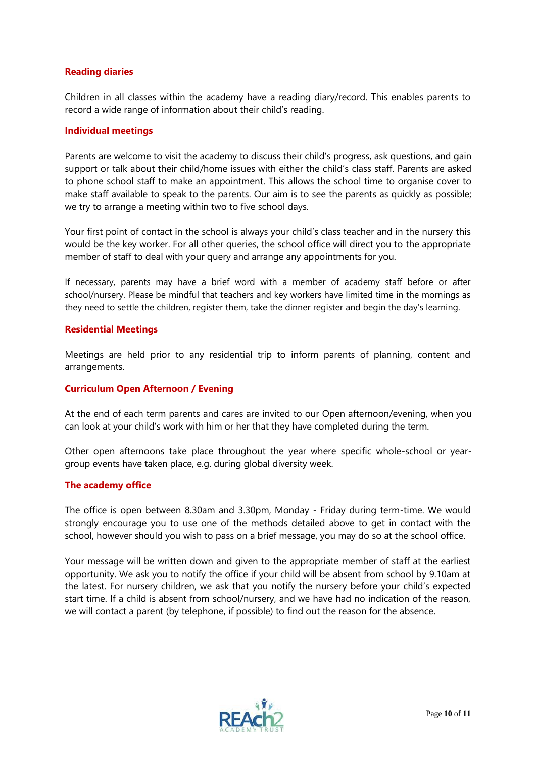# **Reading diaries**

Children in all classes within the academy have a reading diary/record. This enables parents to record a wide range of information about their child's reading.

#### **Individual meetings**

Parents are welcome to visit the academy to discuss their child's progress, ask questions, and gain support or talk about their child/home issues with either the child's class staff. Parents are asked to phone school staff to make an appointment. This allows the school time to organise cover to make staff available to speak to the parents. Our aim is to see the parents as quickly as possible; we try to arrange a meeting within two to five school days.

Your first point of contact in the school is always your child's class teacher and in the nursery this would be the key worker. For all other queries, the school office will direct you to the appropriate member of staff to deal with your query and arrange any appointments for you.

If necessary, parents may have a brief word with a member of academy staff before or after school/nursery. Please be mindful that teachers and key workers have limited time in the mornings as they need to settle the children, register them, take the dinner register and begin the day's learning.

#### **Residential Meetings**

Meetings are held prior to any residential trip to inform parents of planning, content and arrangements.

#### **Curriculum Open Afternoon / Evening**

At the end of each term parents and cares are invited to our Open afternoon/evening, when you can look at your child's work with him or her that they have completed during the term.

Other open afternoons take place throughout the year where specific whole-school or yeargroup events have taken place, e.g. during global diversity week.

#### **The academy office**

The office is open between 8.30am and 3.30pm, Monday - Friday during term-time. We would strongly encourage you to use one of the methods detailed above to get in contact with the school, however should you wish to pass on a brief message, you may do so at the school office.

Your message will be written down and given to the appropriate member of staff at the earliest opportunity. We ask you to notify the office if your child will be absent from school by 9.10am at the latest. For nursery children, we ask that you notify the nursery before your child's expected start time. If a child is absent from school/nursery, and we have had no indication of the reason, we will contact a parent (by telephone, if possible) to find out the reason for the absence.